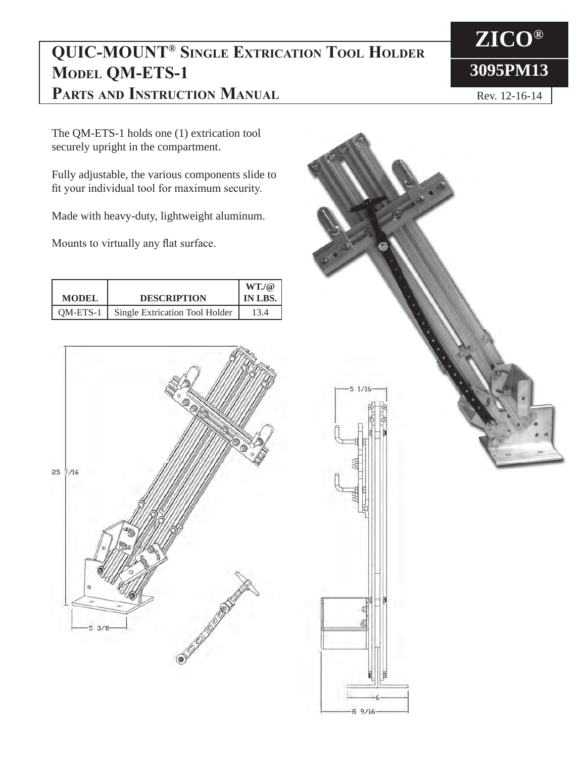## **QUIC-MOUNT® Single Extrication Tool Holder MODEL QM-ETS-1 Parts and Instruction Manual**

The QM-ETS-1 holds one (1) extrication tool securely upright in the compartment.

Fully adjustable, the various components slide to fit your individual tool for maximum security.

Made with heavy-duty, lightweight aluminum.

Mounts to virtually any flat surface.

|              |                                | $WT.$ / $@$ |
|--------------|--------------------------------|-------------|
| <b>MODEL</b> | <b>DESCRIPTION</b>             | IN LBS.     |
| OM-ETS-1     | Single Extrication Tool Holder | 13.4        |





**ZICO® 3095PM13**

Rev. 12-16-14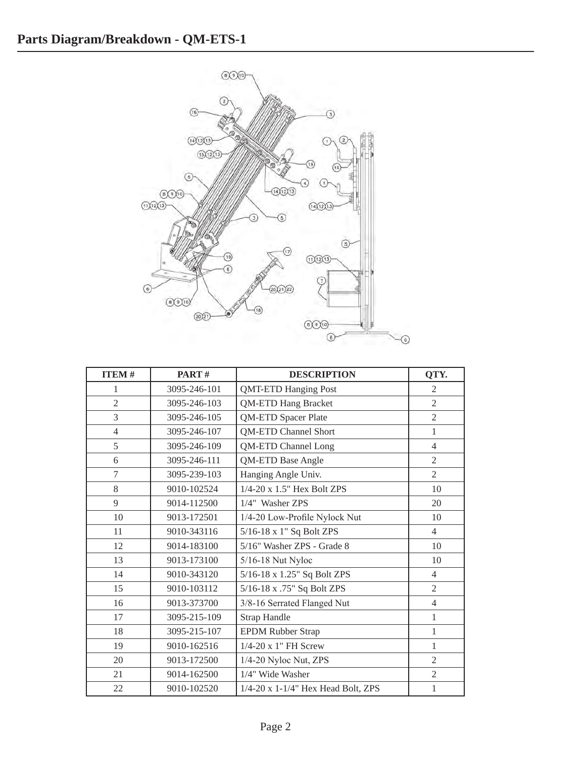

| <b>ITEM#</b>   | PART#        | <b>DESCRIPTION</b>                      | QTY.           |
|----------------|--------------|-----------------------------------------|----------------|
| 1              | 3095-246-101 | <b>QMT-ETD Hanging Post</b>             | 2              |
| $\overline{2}$ | 3095-246-103 | <b>QM-ETD Hang Bracket</b>              | $\overline{2}$ |
| 3              | 3095-246-105 | <b>QM-ETD Spacer Plate</b>              | $\overline{2}$ |
| $\overline{4}$ | 3095-246-107 | <b>QM-ETD Channel Short</b>             | $\mathbf{1}$   |
| 5              | 3095-246-109 | <b>QM-ETD Channel Long</b>              | $\overline{4}$ |
| 6              | 3095-246-111 | QM-ETD Base Angle                       | $\overline{2}$ |
| $\overline{7}$ | 3095-239-103 | Hanging Angle Univ.                     | $\overline{2}$ |
| 8              | 9010-102524  | 1/4-20 x 1.5" Hex Bolt ZPS              | 10             |
| 9              | 9014-112500  | 1/4" Washer ZPS                         | 20             |
| 10             | 9013-172501  | 1/4-20 Low-Profile Nylock Nut           | 10             |
| 11             | 9010-343116  | 5/16-18 x 1" Sq Bolt ZPS                | $\overline{4}$ |
| 12             | 9014-183100  | 5/16" Washer ZPS - Grade 8              | 10             |
| 13             | 9013-173100  | 5/16-18 Nut Nyloc                       | 10             |
| 14             | 9010-343120  | 5/16-18 x 1.25" Sq Bolt ZPS             | $\overline{4}$ |
| 15             | 9010-103112  | 5/16-18 x .75" Sq Bolt ZPS              | $\overline{2}$ |
| 16             | 9013-373700  | 3/8-16 Serrated Flanged Nut             | $\overline{4}$ |
| 17             | 3095-215-109 | <b>Strap Handle</b>                     | 1              |
| 18             | 3095-215-107 | <b>EPDM Rubber Strap</b>                | $\mathbf{1}$   |
| 19             | 9010-162516  | 1/4-20 x 1" FH Screw                    | $\mathbf{1}$   |
| 20             | 9013-172500  | 1/4-20 Nyloc Nut, ZPS                   | 2              |
| 21             | 9014-162500  | 1/4" Wide Washer                        | $\mathfrak{2}$ |
| 22             | 9010-102520  | $1/4-20$ x $1-1/4$ " Hex Head Bolt, ZPS | $\mathbf{1}$   |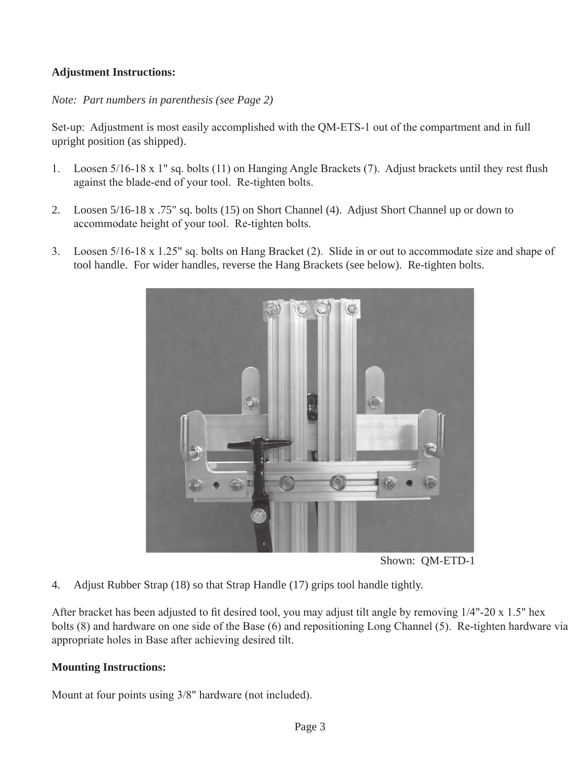## **Adjustment Instructions:**

*Note: Part numbers in parenthesis (see Page 2)*

Set-up: Adjustment is most easily accomplished with the QM-ETS-1 out of the compartment and in full upright position (as shipped).

- 1. Loosen 5/16-18 x 1" sq. bolts (11) on Hanging Angle Brackets (7). Adjust brackets until they rest flush against the blade-end of your tool. Re-tighten bolts.
- 2. Loosen 5/16-18 x .75" sq. bolts (15) on Short Channel (4). Adjust Short Channel up or down to accommodate height of your tool. Re-tighten bolts.
- 3. Loosen 5/16-18 x 1.25" sq. bolts on Hang Bracket (2). Slide in or out to accommodate size and shape of tool handle. For wider handles, reverse the Hang Brackets (see below). Re-tighten bolts.



Shown: QM-ETD-1

4. Adjust Rubber Strap (18) so that Strap Handle (17) grips tool handle tightly.

After bracket has been adjusted to fit desired tool, you may adjust tilt angle by removing 1/4"-20 x 1.5" hex bolts (8) and hardware on one side of the Base (6) and repositioning Long Channel (5). Re-tighten hardware via appropriate holes in Base after achieving desired tilt.

## **Mounting Instructions:**

Mount at four points using 3/8" hardware (not included).